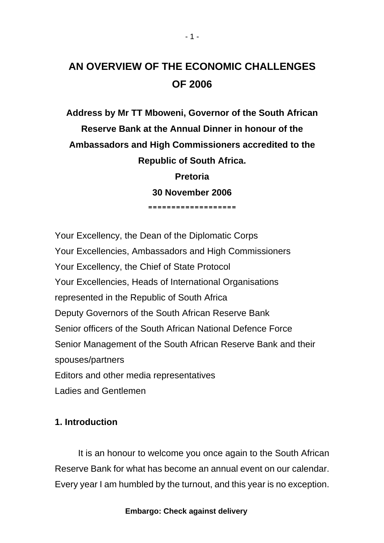# **AN OVERVIEW OF THE ECONOMIC CHALLENGES OF 2006**

**Address by Mr TT Mboweni, Governor of the South African Reserve Bank at the Annual Dinner in honour of the Ambassadors and High Commissioners accredited to the Republic of South Africa.** 

> **Pretoria 30 November 2006 ===================**

Your Excellency, the Dean of the Diplomatic Corps Your Excellencies, Ambassadors and High Commissioners Your Excellency, the Chief of State Protocol Your Excellencies, Heads of International Organisations represented in the Republic of South Africa Deputy Governors of the South African Reserve Bank Senior officers of the South African National Defence Force Senior Management of the South African Reserve Bank and their spouses/partners Editors and other media representatives Ladies and Gentlemen

# **1. Introduction**

It is an honour to welcome you once again to the South African Reserve Bank for what has become an annual event on our calendar. Every year I am humbled by the turnout, and this year is no exception.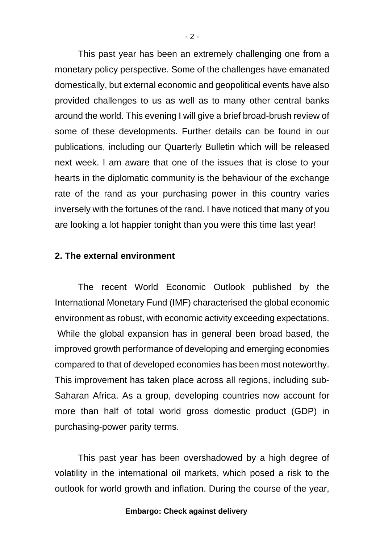This past year has been an extremely challenging one from a monetary policy perspective. Some of the challenges have emanated domestically, but external economic and geopolitical events have also provided challenges to us as well as to many other central banks around the world. This evening I will give a brief broad-brush review of some of these developments. Further details can be found in our publications, including our Quarterly Bulletin which will be released next week. I am aware that one of the issues that is close to your hearts in the diplomatic community is the behaviour of the exchange rate of the rand as your purchasing power in this country varies inversely with the fortunes of the rand. I have noticed that many of you are looking a lot happier tonight than you were this time last year!

## **2. The external environment**

The recent World Economic Outlook published by the International Monetary Fund (IMF) characterised the global economic environment as robust, with economic activity exceeding expectations. While the global expansion has in general been broad based, the improved growth performance of developing and emerging economies compared to that of developed economies has been most noteworthy. This improvement has taken place across all regions, including sub-Saharan Africa. As a group, developing countries now account for more than half of total world gross domestic product (GDP) in purchasing-power parity terms.

This past year has been overshadowed by a high degree of volatility in the international oil markets, which posed a risk to the outlook for world growth and inflation. During the course of the year,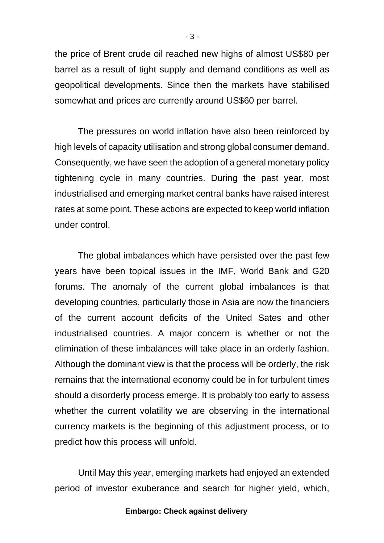the price of Brent crude oil reached new highs of almost US\$80 per barrel as a result of tight supply and demand conditions as well as geopolitical developments. Since then the markets have stabilised somewhat and prices are currently around US\$60 per barrel.

The pressures on world inflation have also been reinforced by high levels of capacity utilisation and strong global consumer demand. Consequently, we have seen the adoption of a general monetary policy tightening cycle in many countries. During the past year, most industrialised and emerging market central banks have raised interest rates at some point. These actions are expected to keep world inflation under control.

The global imbalances which have persisted over the past few years have been topical issues in the IMF, World Bank and G20 forums. The anomaly of the current global imbalances is that developing countries, particularly those in Asia are now the financiers of the current account deficits of the United Sates and other industrialised countries. A major concern is whether or not the elimination of these imbalances will take place in an orderly fashion. Although the dominant view is that the process will be orderly, the risk remains that the international economy could be in for turbulent times should a disorderly process emerge. It is probably too early to assess whether the current volatility we are observing in the international currency markets is the beginning of this adjustment process, or to predict how this process will unfold.

Until May this year, emerging markets had enjoyed an extended period of investor exuberance and search for higher yield, which,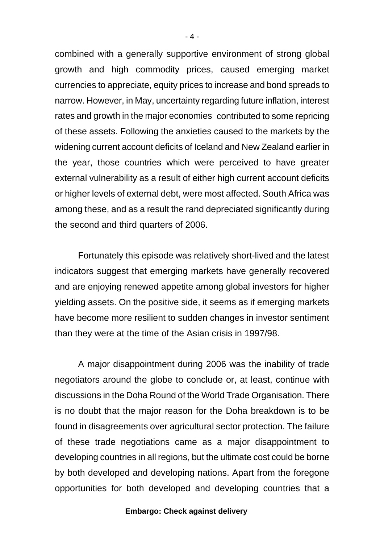combined with a generally supportive environment of strong global growth and high commodity prices, caused emerging market currencies to appreciate, equity prices to increase and bond spreads to narrow. However, in May, uncertainty regarding future inflation, interest rates and growth in the major economies contributed to some repricing of these assets. Following the anxieties caused to the markets by the widening current account deficits of Iceland and New Zealand earlier in the year, those countries which were perceived to have greater external vulnerability as a result of either high current account deficits or higher levels of external debt, were most affected. South Africa was among these, and as a result the rand depreciated significantly during the second and third quarters of 2006.

Fortunately this episode was relatively short-lived and the latest indicators suggest that emerging markets have generally recovered and are enjoying renewed appetite among global investors for higher yielding assets. On the positive side, it seems as if emerging markets have become more resilient to sudden changes in investor sentiment than they were at the time of the Asian crisis in 1997/98.

A major disappointment during 2006 was the inability of trade negotiators around the globe to conclude or, at least, continue with discussions in the Doha Round of the World Trade Organisation. There is no doubt that the major reason for the Doha breakdown is to be found in disagreements over agricultural sector protection. The failure of these trade negotiations came as a major disappointment to developing countries in all regions, but the ultimate cost could be borne by both developed and developing nations. Apart from the foregone opportunities for both developed and developing countries that a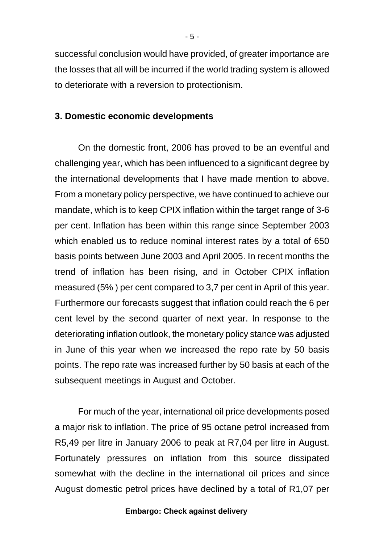successful conclusion would have provided, of greater importance are the losses that all will be incurred if the world trading system is allowed to deteriorate with a reversion to protectionism.

# **3. Domestic economic developments**

On the domestic front, 2006 has proved to be an eventful and challenging year, which has been influenced to a significant degree by the international developments that I have made mention to above. From a monetary policy perspective, we have continued to achieve our mandate, which is to keep CPIX inflation within the target range of 3-6 per cent. Inflation has been within this range since September 2003 which enabled us to reduce nominal interest rates by a total of 650 basis points between June 2003 and April 2005. In recent months the trend of inflation has been rising, and in October CPIX inflation measured (5% ) per cent compared to 3,7 per cent in April of this year. Furthermore our forecasts suggest that inflation could reach the 6 per cent level by the second quarter of next year. In response to the deteriorating inflation outlook, the monetary policy stance was adjusted in June of this year when we increased the repo rate by 50 basis points. The repo rate was increased further by 50 basis at each of the subsequent meetings in August and October.

For much of the year, international oil price developments posed a major risk to inflation. The price of 95 octane petrol increased from R5,49 per litre in January 2006 to peak at R7,04 per litre in August. Fortunately pressures on inflation from this source dissipated somewhat with the decline in the international oil prices and since August domestic petrol prices have declined by a total of R1,07 per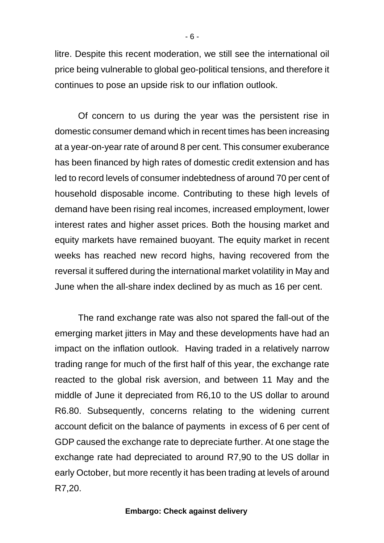litre. Despite this recent moderation, we still see the international oil price being vulnerable to global geo-political tensions, and therefore it continues to pose an upside risk to our inflation outlook.

Of concern to us during the year was the persistent rise in domestic consumer demand which in recent times has been increasing at a year-on-year rate of around 8 per cent. This consumer exuberance has been financed by high rates of domestic credit extension and has led to record levels of consumer indebtedness of around 70 per cent of household disposable income. Contributing to these high levels of demand have been rising real incomes, increased employment, lower interest rates and higher asset prices. Both the housing market and equity markets have remained buoyant. The equity market in recent weeks has reached new record highs, having recovered from the reversal it suffered during the international market volatility in May and June when the all-share index declined by as much as 16 per cent.

The rand exchange rate was also not spared the fall-out of the emerging market jitters in May and these developments have had an impact on the inflation outlook. Having traded in a relatively narrow trading range for much of the first half of this year, the exchange rate reacted to the global risk aversion, and between 11 May and the middle of June it depreciated from R6,10 to the US dollar to around R6.80. Subsequently, concerns relating to the widening current account deficit on the balance of payments in excess of 6 per cent of GDP caused the exchange rate to depreciate further. At one stage the exchange rate had depreciated to around R7,90 to the US dollar in early October, but more recently it has been trading at levels of around R7,20.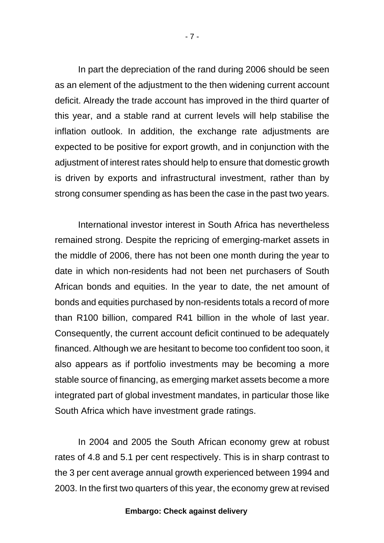In part the depreciation of the rand during 2006 should be seen as an element of the adjustment to the then widening current account deficit. Already the trade account has improved in the third quarter of this year, and a stable rand at current levels will help stabilise the inflation outlook. In addition, the exchange rate adjustments are expected to be positive for export growth, and in conjunction with the adjustment of interest rates should help to ensure that domestic growth is driven by exports and infrastructural investment, rather than by strong consumer spending as has been the case in the past two years.

International investor interest in South Africa has nevertheless remained strong. Despite the repricing of emerging-market assets in the middle of 2006, there has not been one month during the year to date in which non-residents had not been net purchasers of South African bonds and equities. In the year to date, the net amount of bonds and equities purchased by non-residents totals a record of more than R100 billion, compared R41 billion in the whole of last year. Consequently, the current account deficit continued to be adequately financed. Although we are hesitant to become too confident too soon, it also appears as if portfolio investments may be becoming a more stable source of financing, as emerging market assets become a more integrated part of global investment mandates, in particular those like South Africa which have investment grade ratings.

In 2004 and 2005 the South African economy grew at robust rates of 4.8 and 5.1 per cent respectively. This is in sharp contrast to the 3 per cent average annual growth experienced between 1994 and 2003. In the first two quarters of this year, the economy grew at revised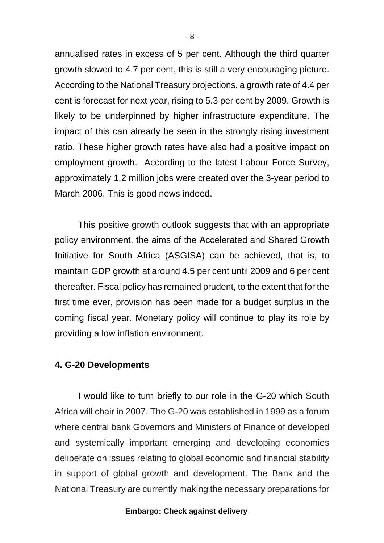annualised rates in excess of 5 per cent. Although the third quarter growth slowed to 4.7 per cent, this is still a very encouraging picture. According to the National Treasury projections, a growth rate of 4.4 per cent is forecast for next year, rising to 5.3 per cent by 2009. Growth is likely to be underpinned by higher infrastructure expenditure. The impact of this can already be seen in the strongly rising investment ratio. These higher growth rates have also had a positive impact on employment growth. According to the latest Labour Force Survey, approximately 1.2 million jobs were created over the 3-year period to March 2006. This is good news indeed.

This positive growth outlook suggests that with an appropriate policy environment, the aims of the Accelerated and Shared Growth Initiative for South Africa (ASGISA) can be achieved, that is, to maintain GDP growth at around 4.5 per cent until 2009 and 6 per cent thereafter. Fiscal policy has remained prudent, to the extent that for the first time ever, provision has been made for a budget surplus in the coming fiscal year. Monetary policy will continue to play its role by providing a low inflation environment.

# **4. G-20 Developments**

I would like to turn briefly to our role in the G-20 which South Africa will chair in 2007. The G-20 was established in 1999 as a forum where central bank Governors and Ministers of Finance of developed and systemically important emerging and developing economies deliberate on issues relating to global economic and financial stability in support of global growth and development. The Bank and the National Treasury are currently making the necessary preparations for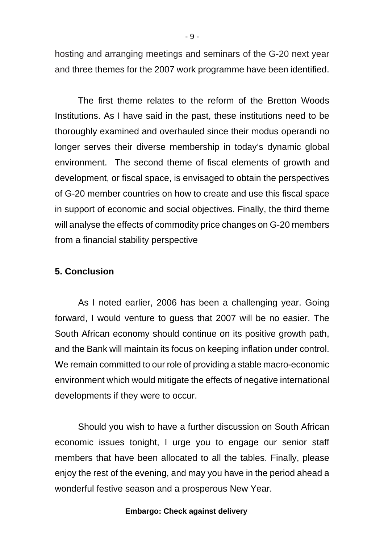hosting and arranging meetings and seminars of the G-20 next year and three themes for the 2007 work programme have been identified.

The first theme relates to the reform of the Bretton Woods Institutions. As I have said in the past, these institutions need to be thoroughly examined and overhauled since their modus operandi no longer serves their diverse membership in today's dynamic global environment. The second theme of fiscal elements of growth and development, or fiscal space, is envisaged to obtain the perspectives of G-20 member countries on how to create and use this fiscal space in support of economic and social objectives. Finally, the third theme will analyse the effects of commodity price changes on G-20 members from a financial stability perspective

# **5. Conclusion**

As I noted earlier, 2006 has been a challenging year. Going forward, I would venture to guess that 2007 will be no easier. The South African economy should continue on its positive growth path, and the Bank will maintain its focus on keeping inflation under control. We remain committed to our role of providing a stable macro-economic environment which would mitigate the effects of negative international developments if they were to occur.

Should you wish to have a further discussion on South African economic issues tonight, I urge you to engage our senior staff members that have been allocated to all the tables. Finally, please enjoy the rest of the evening, and may you have in the period ahead a wonderful festive season and a prosperous New Year.